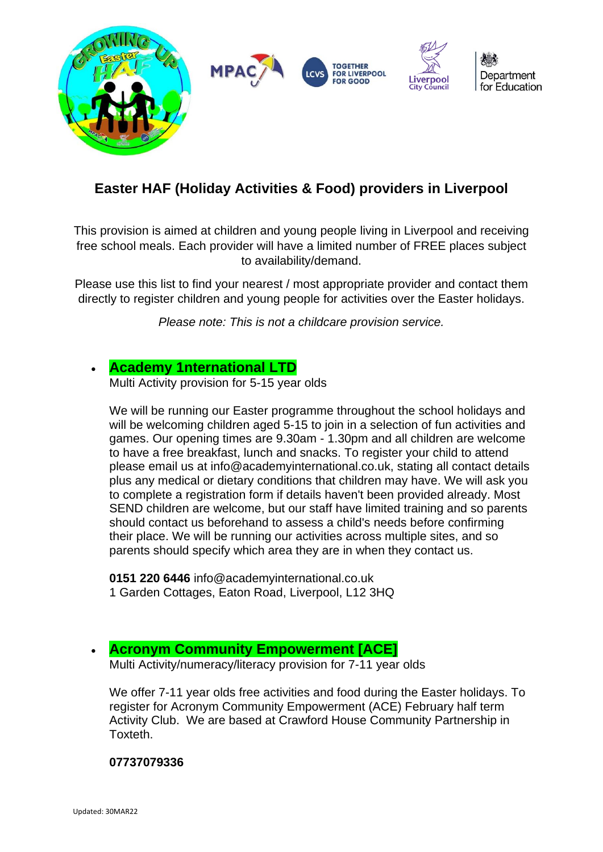

## **Easter HAF (Holiday Activities & Food) providers in Liverpool**

This provision is aimed at children and young people living in Liverpool and receiving free school meals. Each provider will have a limited number of FREE places subject to availability/demand.

Please use this list to find your nearest / most appropriate provider and contact them directly to register children and young people for activities over the Easter holidays.

*Please note: This is not a childcare provision service.* 

## • **[Academy 1nternational LTD](http://academy1nternational.co.uk/)**

Multi Activity provision for 5-15 year olds

We will be running our Easter programme throughout the school holidays and will be welcoming children aged 5-15 to join in a selection of fun activities and games. Our opening times are 9.30am - 1.30pm and all children are welcome to have a free breakfast, lunch and snacks. To register your child to attend please email us at info@academyinternational.co.uk, stating all contact details plus any medical or dietary conditions that children may have. We will ask you to complete a registration form if details haven't been provided already. Most SEND children are welcome, but our staff have limited training and so parents should contact us beforehand to assess a child's needs before confirming their place. We will be running our activities across multiple sites, and so parents should specify which area they are in when they contact us.

**0151 220 6446** info@academyinternational.co.uk 1 Garden Cottages, Eaton Road, Liverpool, L12 3HQ

## • **[Acronym Community Empowerment \[ACE\]](https://www.acronymcommunityempowerment.org/)**

Multi Activity/numeracy/literacy provision for 7-11 year olds

We offer 7-11 year olds free activities and food during the Easter holidays. To register for Acronym Community Empowerment (ACE) February half term Activity Club. We are based at Crawford House Community Partnership in Toxteth.

#### **07737079336**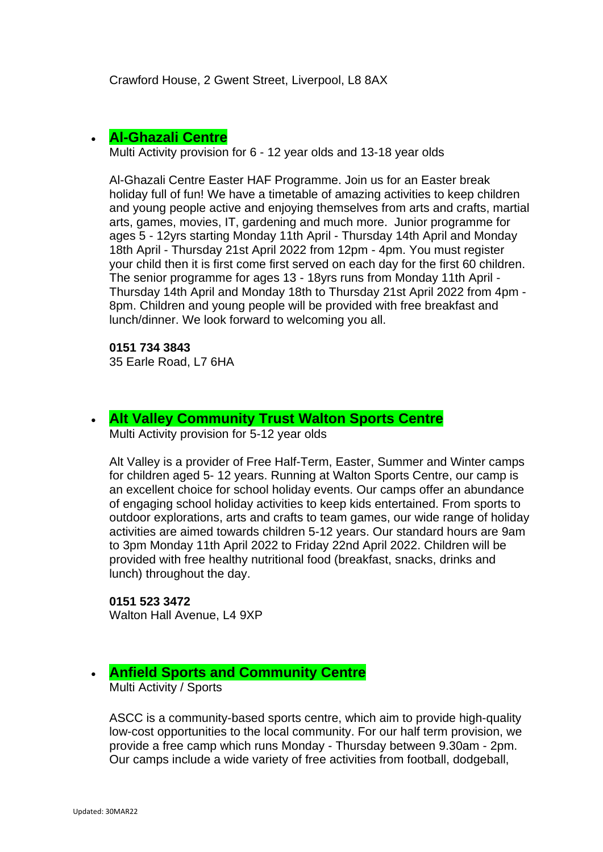## • **[Al-Ghazali Centre](https://alghazalicentre.co.uk/)**

Multi Activity provision for 6 - 12 year olds and 13-18 year olds

Al-Ghazali Centre Easter HAF Programme. Join us for an Easter break holiday full of fun! We have a timetable of amazing activities to keep children and young people active and enjoying themselves from arts and crafts, martial arts, games, movies, IT, gardening and much more. Junior programme for ages 5 - 12yrs starting Monday 11th April - Thursday 14th April and Monday 18th April - Thursday 21st April 2022 from 12pm - 4pm. You must register your child then it is first come first served on each day for the first 60 children. The senior programme for ages 13 - 18yrs runs from Monday 11th April - Thursday 14th April and Monday 18th to Thursday 21st April 2022 from 4pm - 8pm. Children and young people will be provided with free breakfast and lunch/dinner. We look forward to welcoming you all.

## **0151 734 3843**

35 Earle Road, L7 6HA

## • **[Alt Valley Community Trust](https://www.altvalley.co.uk/lifestyleswalton) Walton Sports Centre**

Multi Activity provision for 5-12 year olds

Alt Valley is a provider of Free Half-Term, Easter, Summer and Winter camps for children aged 5- 12 years. Running at Walton Sports Centre, our camp is an excellent choice for school holiday events. Our camps offer an abundance of engaging school holiday activities to keep kids entertained. From sports to outdoor explorations, arts and crafts to team games, our wide range of holiday activities are aimed towards children 5-12 years. Our standard hours are 9am to 3pm Monday 11th April 2022 to Friday 22nd April 2022. Children will be provided with free healthy nutritional food (breakfast, snacks, drinks and lunch) throughout the day.

#### **0151 523 3472**

Walton Hall Avenue, L4 9XP

## • **Anfield Sports and Community Centre**

Multi Activity / Sports

ASCC is a community-based sports centre, which aim to provide high-quality low-cost opportunities to the local community. For our half term provision, we provide a free camp which runs Monday - Thursday between 9.30am - 2pm. Our camps include a wide variety of free activities from football, dodgeball,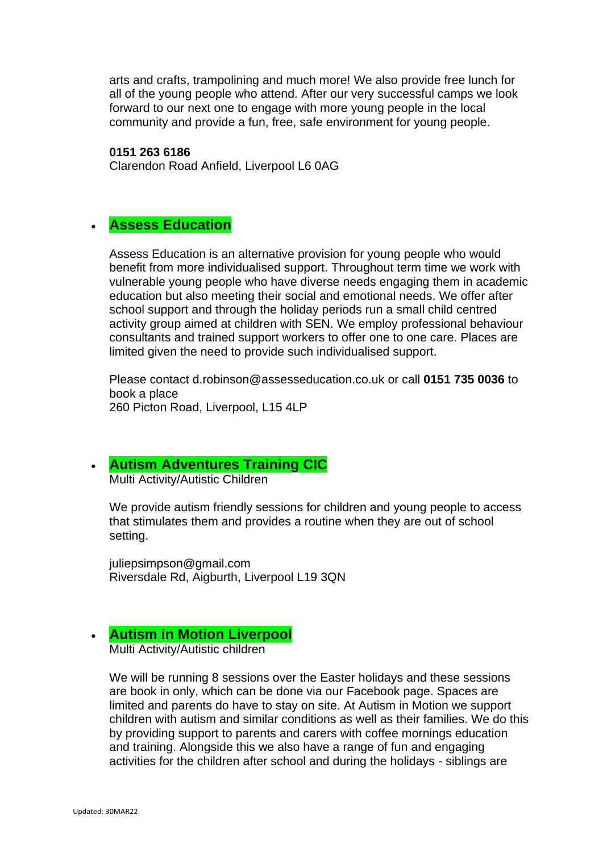arts and crafts, trampolining and much more! We also provide free lunch for all of the young people who attend. After our very successful camps we look forward to our next one to engage with more young people in the local community and provide a fun, free, safe environment for young people.

**0151 263 6186**

Clarendon Road Anfield, Liverpool L6 0AG

## • **Assess Education**

Assess Education is an alternative provision for young people who would benefit from more individualised support. Throughout term time we work with vulnerable young people who have diverse needs engaging them in academic education but also meeting their social and emotional needs. We offer after school support and through the holiday periods run a small child centred activity group aimed at children with SEN. We employ professional behaviour consultants and trained support workers to offer one to one care. Places are limited given the need to provide such individualised support.

Please contact d.robinson@assesseducation.co.uk or call **0151 735 0036** to book a place 260 Picton Road, Liverpool, L15 4LP

## • **[Autism Adventures Training CIC](http://liverpoolautismadventures.co.uk/)**

Multi Activity/Autistic Children

We provide autism friendly sessions for children and young people to access that stimulates them and provides a routine when they are out of school setting.

juliepsimpson@gmail.com Riversdale Rd, Aigburth, Liverpool L19 3QN

## • **[Autism in Motion Liverpool](https://www.aimautism.com/)**

Multi Activity/Autistic children

We will be running 8 sessions over the Easter holidays and these sessions are book in only, which can be done via our Facebook page. Spaces are limited and parents do have to stay on site. At Autism in Motion we support children with autism and similar conditions as well as their families. We do this by providing support to parents and carers with coffee mornings education and training. Alongside this we also have a range of fun and engaging activities for the children after school and during the holidays - siblings are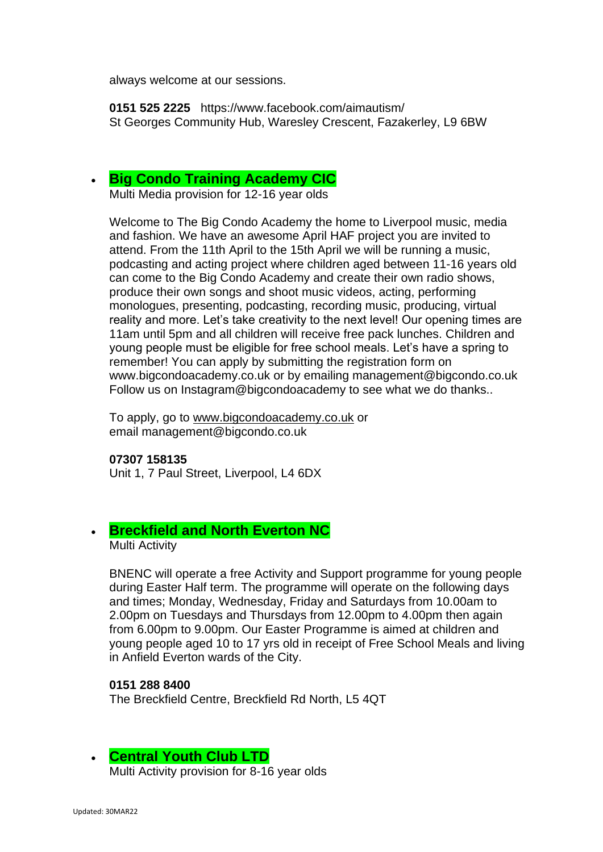always welcome at our sessions.

**0151 525 2225** https://www.facebook.com/aimautism/ St Georges Community Hub, Waresley Crescent, Fazakerley, L9 6BW

## • **[Big Condo Training Academy CIC](http://bigcondoacademy.co.uk/)**

Multi Media provision for 12-16 year olds

Welcome to The Big Condo Academy the home to Liverpool music, media and fashion. We have an awesome April HAF project you are invited to attend. From the 11th April to the 15th April we will be running a music, podcasting and acting project where children aged between 11-16 years old can come to the Big Condo Academy and create their own radio shows, produce their own songs and shoot music videos, acting, performing monologues, presenting, podcasting, recording music, producing, virtual reality and more. Let's take creativity to the next level! Our opening times are 11am until 5pm and all children will receive free pack lunches. Children and young people must be eligible for free school meals. Let's have a spring to remember! You can apply by submitting the registration form on www.bigcondoacademy.co.uk or by emailing management@bigcondo.co.uk Follow us on Instagram@bigcondoacademy to see what we do thanks..

To apply, go to [www.bigcondoacademy.co.uk](http://www.bigcondoacademy.co.uk/) or email management@bigcondo.co.uk

#### **07307 158135**

Unit 1, 7 Paul Street, Liverpool, L4 6DX

## • **Breckfield and North Everton NC**

Multi Activity

BNENC will operate a free Activity and Support programme for young people during Easter Half term. The programme will operate on the following days and times; Monday, Wednesday, Friday and Saturdays from 10.00am to 2.00pm on Tuesdays and Thursdays from 12.00pm to 4.00pm then again from 6.00pm to 9.00pm. Our Easter Programme is aimed at children and young people aged 10 to 17 yrs old in receipt of Free School Meals and living in Anfield Everton wards of the City.

#### **0151 288 8400**

The Breckfield Centre, Breckfield Rd North, L5 4QT

## • **[Central Youth Club LTD](https://www.familiesonline.co.uk/local/liverpool/listing/central-youth-club-liverpool-186457)**

Multi Activity provision for 8-16 year olds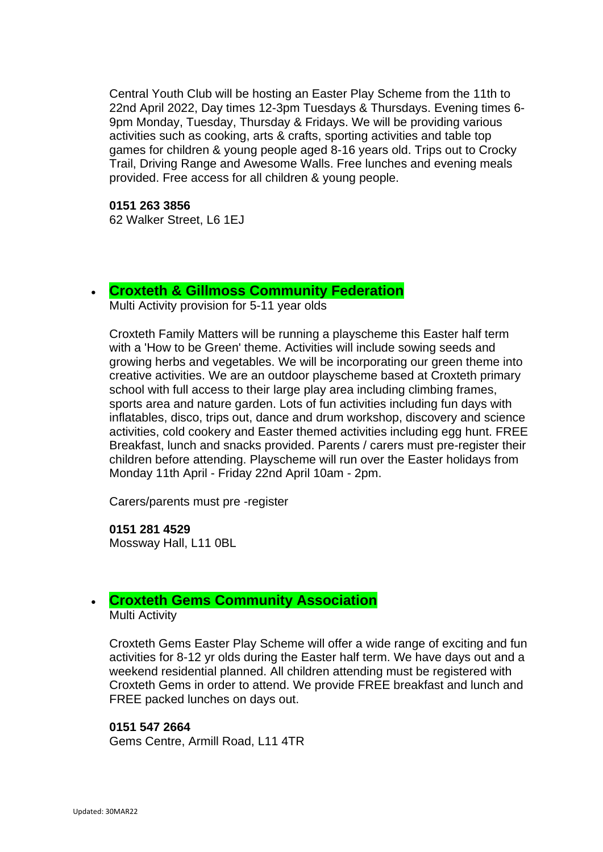Central Youth Club will be hosting an Easter Play Scheme from the 11th to 22nd April 2022, Day times 12-3pm Tuesdays & Thursdays. Evening times 6- 9pm Monday, Tuesday, Thursday & Fridays. We will be providing various activities such as cooking, arts & crafts, sporting activities and table top games for children & young people aged 8-16 years old. Trips out to Crocky Trail, Driving Range and Awesome Walls. Free lunches and evening meals provided. Free access for all children & young people.

**0151 263 3856** 62 Walker Street, L6 1EJ

#### • **[Croxteth & Gillmoss Community Federation](http://www.croxtethfamilymatters.co.uk/home.html)**

Multi Activity provision for 5-11 year olds

Croxteth Family Matters will be running a playscheme this Easter half term with a 'How to be Green' theme. Activities will include sowing seeds and growing herbs and vegetables. We will be incorporating our green theme into creative activities. We are an outdoor playscheme based at Croxteth primary school with full access to their large play area including climbing frames, sports area and nature garden. Lots of fun activities including fun days with inflatables, disco, trips out, dance and drum workshop, discovery and science activities, cold cookery and Easter themed activities including egg hunt. FREE Breakfast, lunch and snacks provided. Parents / carers must pre-register their children before attending. Playscheme will run over the Easter holidays from Monday 11th April - Friday 22nd April 10am - 2pm.

Carers/parents must pre -register

**0151 281 4529** Mossway Hall, L11 0BL

## • **[Croxteth Gems Community Association](https://www.facebook.com/Croxteth-Gems-1764266527136603/)**

Multi Activity

Croxteth Gems Easter Play Scheme will offer a wide range of exciting and fun activities for 8-12 yr olds during the Easter half term. We have days out and a weekend residential planned. All children attending must be registered with Croxteth Gems in order to attend. We provide FREE breakfast and lunch and FREE packed lunches on days out.

#### **0151 547 2664**

Gems Centre, Armill Road, L11 4TR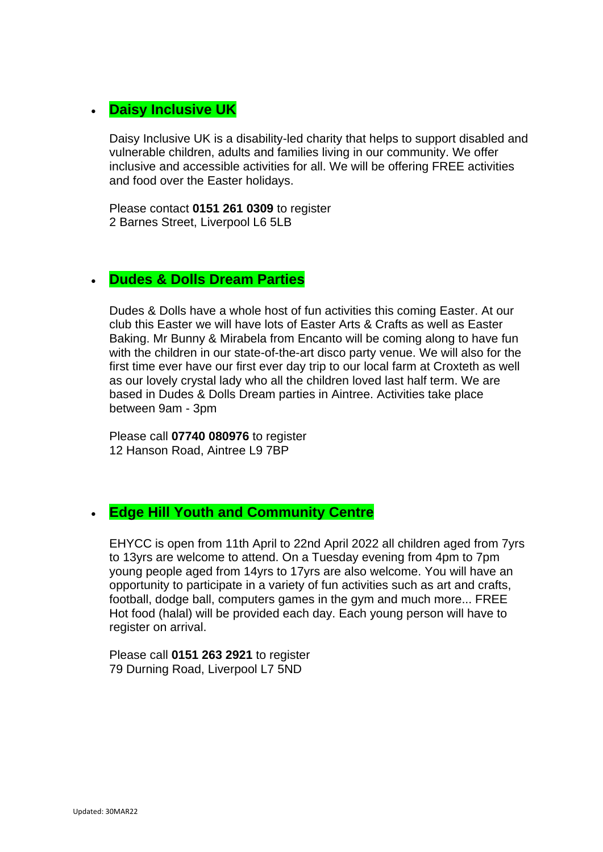## • **[Daisy](https://www.facebook.com/deysbrook.centre/) Inclusive UK**

Daisy Inclusive UK is a disability-led charity that helps to support disabled and vulnerable children, adults and families living in our community. We offer inclusive and accessible activities for all. We will be offering FREE activities and food over the Easter holidays.

Please contact **0151 261 0309** to register 2 Barnes Street, Liverpool L6 5LB

## • **Dudes & Dolls Dream Parties**

Dudes & Dolls have a whole host of fun activities this coming Easter. At our club this Easter we will have lots of Easter Arts & Crafts as well as Easter Baking. Mr Bunny & Mirabela from Encanto will be coming along to have fun with the children in our state-of-the-art disco party venue. We will also for the first time ever have our first ever day trip to our local farm at Croxteth as well as our lovely crystal lady who all the children loved last half term. We are based in Dudes & Dolls Dream parties in Aintree. Activities take place between 9am - 3pm

Please call **07740 080976** to register 12 Hanson Road, Aintree L9 7BP

## • **[Edge](https://www.facebook.com/Ellergreen-Community-Centre-1622527047766550/about/) Hill Youth and Community Centre**

EHYCC is open from 11th April to 22nd April 2022 all children aged from 7yrs to 13yrs are welcome to attend. On a Tuesday evening from 4pm to 7pm young people aged from 14yrs to 17yrs are also welcome. You will have an opportunity to participate in a variety of fun activities such as art and crafts, football, dodge ball, computers games in the gym and much more... FREE Hot food (halal) will be provided each day. Each young person will have to register on arrival.

Please call **0151 263 2921** to register 79 Durning Road, Liverpool L7 5ND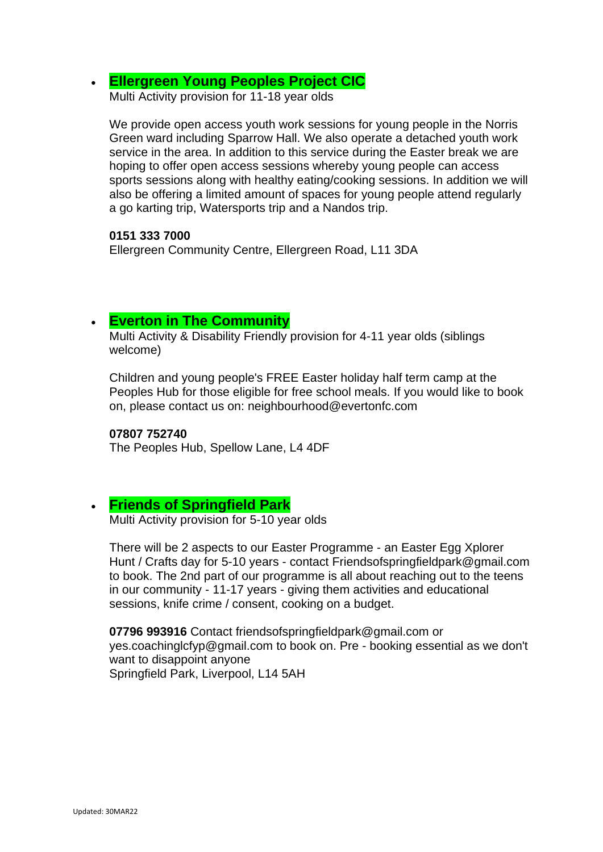• **[Ellergreen Young Peoples Project CIC](https://www.facebook.com/Ellergreen-Community-Centre-1622527047766550/about/)**

Multi Activity provision for 11-18 year olds

We provide open access youth work sessions for young people in the Norris Green ward including Sparrow Hall. We also operate a detached youth work service in the area. In addition to this service during the Easter break we are hoping to offer open access sessions whereby young people can access sports sessions along with healthy eating/cooking sessions. In addition we will also be offering a limited amount of spaces for young people attend regularly a go karting trip, Watersports trip and a Nandos trip.

#### **0151 333 7000**

Ellergreen Community Centre, Ellergreen Road, L11 3DA

## • **[Everton in The Community](https://www.evertoninthecommunity.org/)**

Multi Activity & Disability Friendly provision for 4-11 year olds (siblings welcome)

Children and young people's FREE Easter holiday half term camp at the Peoples Hub for those eligible for free school meals. If you would like to book on, please contact us on: neighbourhood@evertonfc.com

#### **07807 752740**

The Peoples Hub, Spellow Lane, L4 4DF

## • **Friends of Springfield Park**

Multi Activity provision for 5-10 year olds

There will be 2 aspects to our Easter Programme - an Easter Egg Xplorer Hunt / Crafts day for 5-10 years - contact Friendsofspringfieldpark@gmail.com to book. The 2nd part of our programme is all about reaching out to the teens in our community - 11-17 years - giving them activities and educational sessions, knife crime / consent, cooking on a budget.

**07796 993916** Contact friendsofspringfieldpark@gmail.com or yes.coachinglcfyp@gmail.com to book on. Pre - booking essential as we don't want to disappoint anyone Springfield Park, Liverpool, L14 5AH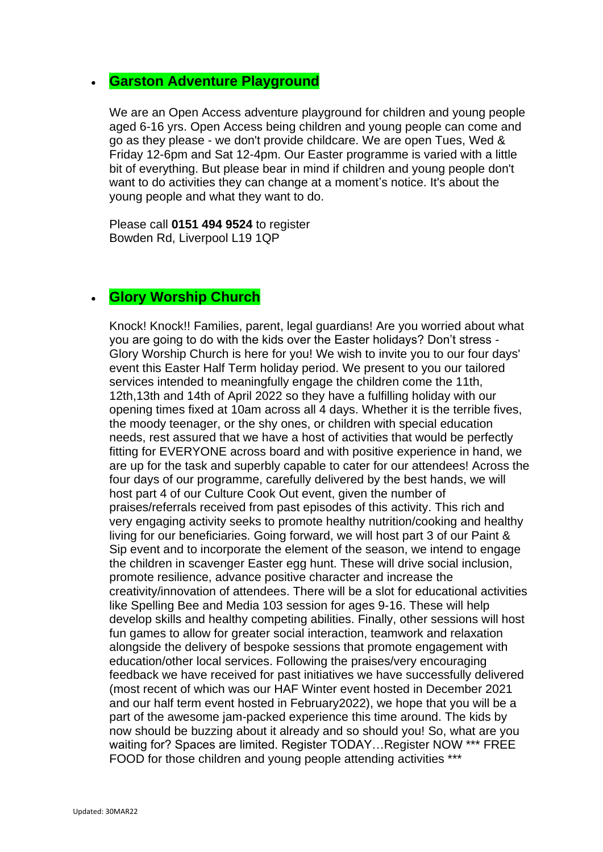## • **Garston Adventure Playground**

We are an Open Access adventure playground for children and young people aged 6-16 yrs. Open Access being children and young people can come and go as they please - we don't provide childcare. We are open Tues, Wed & Friday 12-6pm and Sat 12-4pm. Our Easter programme is varied with a little bit of everything. But please bear in mind if children and young people don't want to do activities they can change at a moment's notice. It's about the young people and what they want to do.

Please call **0151 494 9524** to register Bowden Rd, Liverpool L19 1QP

## • **Glory Worship Church**

Knock! Knock!! Families, parent, legal guardians! Are you worried about what you are going to do with the kids over the Easter holidays? Don't stress - Glory Worship Church is here for you! We wish to invite you to our four days' event this Easter Half Term holiday period. We present to you our tailored services intended to meaningfully engage the children come the 11th, 12th,13th and 14th of April 2022 so they have a fulfilling holiday with our opening times fixed at 10am across all 4 days. Whether it is the terrible fives, the moody teenager, or the shy ones, or children with special education needs, rest assured that we have a host of activities that would be perfectly fitting for EVERYONE across board and with positive experience in hand, we are up for the task and superbly capable to cater for our attendees! Across the four days of our programme, carefully delivered by the best hands, we will host part 4 of our Culture Cook Out event, given the number of praises/referrals received from past episodes of this activity. This rich and very engaging activity seeks to promote healthy nutrition/cooking and healthy living for our beneficiaries. Going forward, we will host part 3 of our Paint & Sip event and to incorporate the element of the season, we intend to engage the children in scavenger Easter egg hunt. These will drive social inclusion, promote resilience, advance positive character and increase the creativity/innovation of attendees. There will be a slot for educational activities like Spelling Bee and Media 103 session for ages 9-16. These will help develop skills and healthy competing abilities. Finally, other sessions will host fun games to allow for greater social interaction, teamwork and relaxation alongside the delivery of bespoke sessions that promote engagement with education/other local services. Following the praises/very encouraging feedback we have received for past initiatives we have successfully delivered (most recent of which was our HAF Winter event hosted in December 2021 and our half term event hosted in February2022), we hope that you will be a part of the awesome jam-packed experience this time around. The kids by now should be buzzing about it already and so should you! So, what are you waiting for? Spaces are limited. Register TODAY…Register NOW \*\*\* FREE FOOD for those children and young people attending activities \*\*\*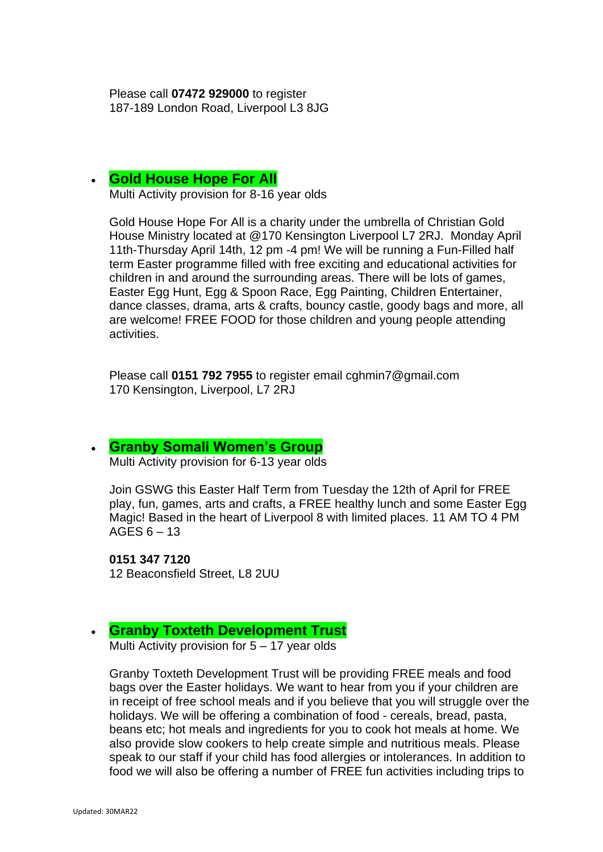Please call **07472 929000** to register 187-189 London Road, Liverpool L3 8JG

#### • **Gold House Hope For All**

Multi Activity provision for 8-16 year olds

Gold House Hope For All is a charity under the umbrella of Christian Gold House Ministry located at @170 Kensington Liverpool L7 2RJ. Monday April 11th-Thursday April 14th, 12 pm -4 pm! We will be running a Fun-Filled half term Easter programme filled with free exciting and educational activities for children in and around the surrounding areas. There will be lots of games, Easter Egg Hunt, Egg & Spoon Race, Egg Painting, Children Entertainer, dance classes, drama, arts & crafts, bouncy castle, goody bags and more, all are welcome! FREE FOOD for those children and young people attending activities.

Please call **0151 792 7955** to register email cghmin7@gmail.com 170 Kensington, Liverpool, L7 2RJ

#### • **[Granby Somali Women's Group](http://www.granbysomaliwomensgroup.org/)**

Multi Activity provision for 6-13 year olds

Join GSWG this Easter Half Term from Tuesday the 12th of April for FREE play, fun, games, arts and crafts, a FREE healthy lunch and some Easter Egg Magic! Based in the heart of Liverpool 8 with limited places. 11 AM TO 4 PM AGES  $6 - 13$ 

**0151 347 7120** 12 Beaconsfield Street, L8 2UU

#### • **Granby Toxteth Development Trust**

Multi Activity provision for 5 – 17 year olds

Granby Toxteth Development Trust will be providing FREE meals and food bags over the Easter holidays. We want to hear from you if your children are in receipt of free school meals and if you believe that you will struggle over the holidays. We will be offering a combination of food - cereals, bread, pasta, beans etc; hot meals and ingredients for you to cook hot meals at home. We also provide slow cookers to help create simple and nutritious meals. Please speak to our staff if your child has food allergies or intolerances. In addition to food we will also be offering a number of FREE fun activities including trips to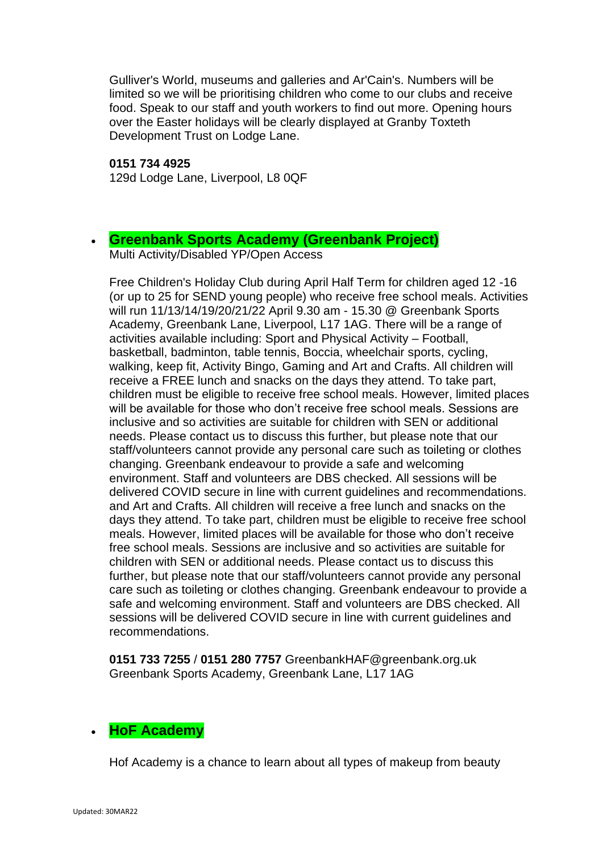Gulliver's World, museums and galleries and Ar'Cain's. Numbers will be limited so we will be prioritising children who come to our clubs and receive food. Speak to our staff and youth workers to find out more. Opening hours over the Easter holidays will be clearly displayed at Granby Toxteth Development Trust on Lodge Lane.

#### **0151 734 4925**

129d Lodge Lane, Liverpool, L8 0QF

## • **[Greenbank Sports Academy \(Greenbank Project\)](https://www.greenbank.org.uk/)**

Multi Activity/Disabled YP/Open Access

Free Children's Holiday Club during April Half Term for children aged 12 -16 (or up to 25 for SEND young people) who receive free school meals. Activities will run 11/13/14/19/20/21/22 April 9.30 am - 15.30 @ Greenbank Sports Academy, Greenbank Lane, Liverpool, L17 1AG. There will be a range of activities available including: Sport and Physical Activity – Football, basketball, badminton, table tennis, Boccia, wheelchair sports, cycling, walking, keep fit, Activity Bingo, Gaming and Art and Crafts. All children will receive a FREE lunch and snacks on the days they attend. To take part, children must be eligible to receive free school meals. However, limited places will be available for those who don't receive free school meals. Sessions are inclusive and so activities are suitable for children with SEN or additional needs. Please contact us to discuss this further, but please note that our staff/volunteers cannot provide any personal care such as toileting or clothes changing. Greenbank endeavour to provide a safe and welcoming environment. Staff and volunteers are DBS checked. All sessions will be delivered COVID secure in line with current guidelines and recommendations. and Art and Crafts. All children will receive a free lunch and snacks on the days they attend. To take part, children must be eligible to receive free school meals. However, limited places will be available for those who don't receive free school meals. Sessions are inclusive and so activities are suitable for children with SEN or additional needs. Please contact us to discuss this further, but please note that our staff/volunteers cannot provide any personal care such as toileting or clothes changing. Greenbank endeavour to provide a safe and welcoming environment. Staff and volunteers are DBS checked. All sessions will be delivered COVID secure in line with current guidelines and recommendations.

**0151 733 7255** / **0151 280 7757** GreenbankHAF@greenbank.org.uk Greenbank Sports Academy, Greenbank Lane, L17 1AG

## • **HoF Academy**

Hof Academy is a chance to learn about all types of makeup from beauty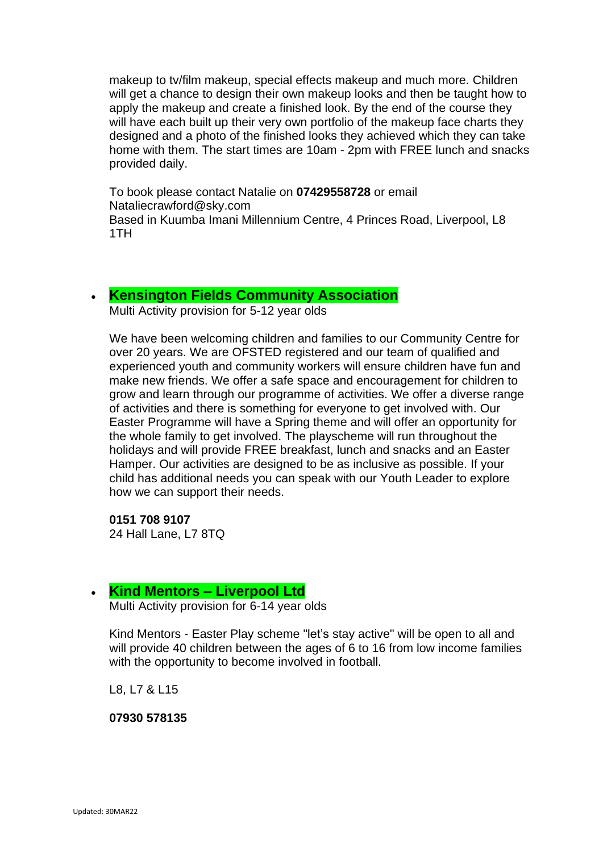makeup to tv/film makeup, special effects makeup and much more. Children will get a chance to design their own makeup looks and then be taught how to apply the makeup and create a finished look. By the end of the course they will have each built up their very own portfolio of the makeup face charts they designed and a photo of the finished looks they achieved which they can take home with them. The start times are 10am - 2pm with FREE lunch and snacks provided daily.

To book please contact Natalie on **07429558728** or email Nataliecrawford@sky.com Based in Kuumba Imani Millennium Centre, 4 Princes Road, Liverpool, L8 1TH

## • **[Kensington Fields Community Association](https://www.facebook.com/Kensington-Fields-Community-Centre-152367372066953/)**

Multi Activity provision for 5-12 year olds

We have been welcoming children and families to our Community Centre for over 20 years. We are OFSTED registered and our team of qualified and experienced youth and community workers will ensure children have fun and make new friends. We offer a safe space and encouragement for children to grow and learn through our programme of activities. We offer a diverse range of activities and there is something for everyone to get involved with. Our Easter Programme will have a Spring theme and will offer an opportunity for the whole family to get involved. The playscheme will run throughout the holidays and will provide FREE breakfast, lunch and snacks and an Easter Hamper. Our activities are designed to be as inclusive as possible. If your child has additional needs you can speak with our Youth Leader to explore how we can support their needs.

**0151 708 9107** 24 Hall Lane, L7 8TQ

## • **Kind Mentors – Liverpool Ltd**

Multi Activity provision for 6-14 year olds

Kind Mentors - Easter Play scheme "let's stay active" will be open to all and will provide 40 children between the ages of 6 to 16 from low income families with the opportunity to become involved in football.

L8, L7 & L15

**07930 578135**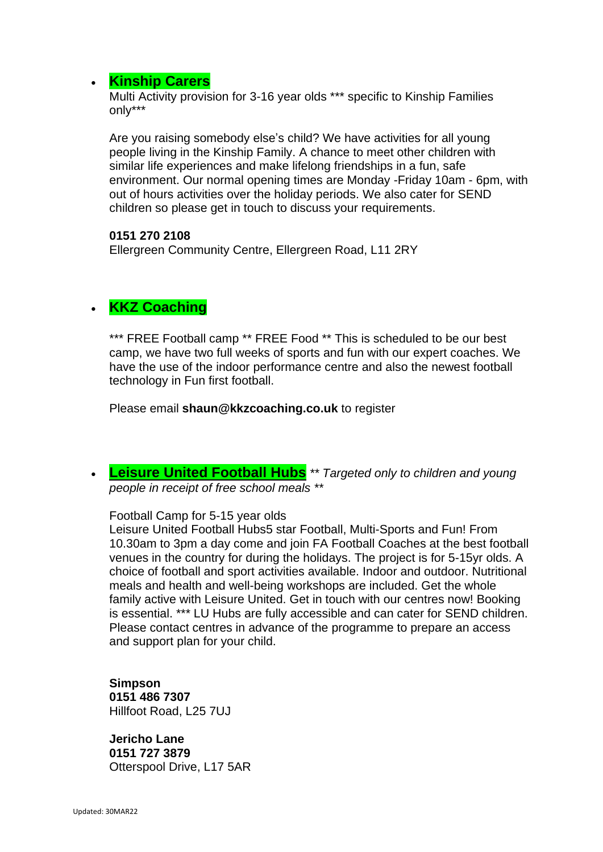## • **[Kinship Carers](https://kinshipcarersliverpool.co.uk/)**

Multi Activity provision for 3-16 year olds \*\*\* specific to Kinship Families only\*\*\*

Are you raising somebody else's child? We have activities for all young people living in the Kinship Family. A chance to meet other children with similar life experiences and make lifelong friendships in a fun, safe environment. Our normal opening times are Monday -Friday 10am - 6pm, with out of hours activities over the holiday periods. We also cater for SEND children so please get in touch to discuss your requirements.

#### **0151 270 2108**

Ellergreen Community Centre, Ellergreen Road, L11 2RY

## • **KKZ Coaching**

\*\*\* FREE Football camp \*\* FREE Food \*\* This is scheduled to be our best camp, we have two full weeks of sports and fun with our expert coaches. We have the use of the indoor performance centre and also the newest football technology in Fun first football.

Please email **shaun@kkzcoaching.co.uk** to register

• **[Leisure United Football Hubs](https://leisureunited.com/)** *\*\* Targeted only to children and young people in receipt of free school meals \*\**

Football Camp for 5-15 year olds

Leisure United Football Hubs5 star Football, Multi-Sports and Fun! From 10.30am to 3pm a day come and join FA Football Coaches at the best football venues in the country for during the holidays. The project is for 5-15yr olds. A choice of football and sport activities available. Indoor and outdoor. Nutritional meals and health and well-being workshops are included. Get the whole family active with Leisure United. Get in touch with our centres now! Booking is essential. \*\*\* LU Hubs are fully accessible and can cater for SEND children. Please contact centres in advance of the programme to prepare an access and support plan for your child.

**Simpson 0151 486 7307** Hillfoot Road, L25 7UJ

**Jericho Lane 0151 727 3879** Otterspool Drive, L17 5AR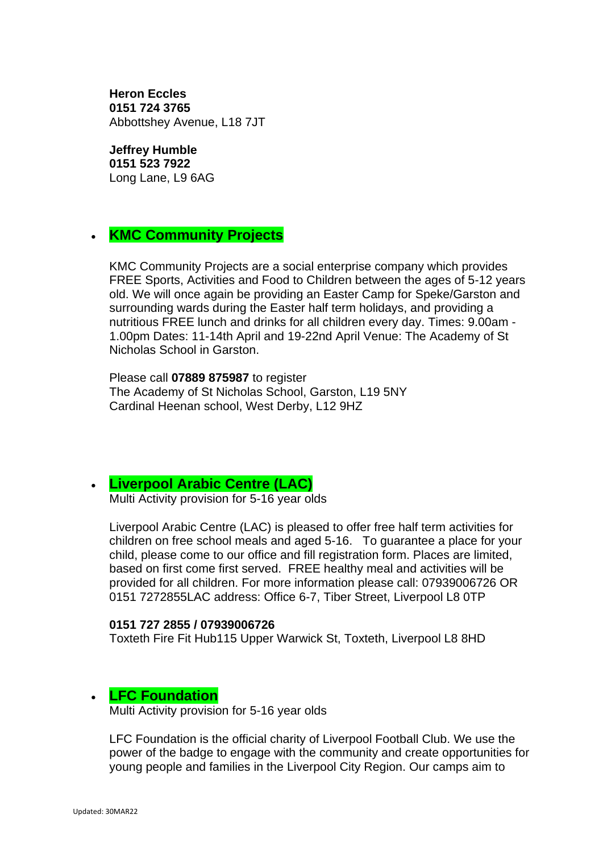**Heron Eccles 0151 724 3765** Abbottshey Avenue, L18 7JT

#### **Jeffrey Humble**

**0151 523 7922** Long Lane, L9 6AG

## • **KMC Community Projects**

KMC Community Projects are a social enterprise company which provides FREE Sports, Activities and Food to Children between the ages of 5-12 years old. We will once again be providing an Easter Camp for Speke/Garston and surrounding wards during the Easter half term holidays, and providing a nutritious FREE lunch and drinks for all children every day. Times: 9.00am - 1.00pm Dates: 11-14th April and 19-22nd April Venue: The Academy of St Nicholas School in Garston.

Please call **07889 875987** to register The Academy of St Nicholas School, Garston, L19 5NY Cardinal Heenan school, West Derby, L12 9HZ

## • **[Liverpool Arabic Centre \(LAC\)](https://liverpoolarabiccentre.org.uk/)**

Multi Activity provision for 5-16 year olds

Liverpool Arabic Centre (LAC) is pleased to offer free half term activities for children on free school meals and aged 5-16. To guarantee a place for your child, please come to our office and fill registration form. Places are limited, based on first come first served. FREE healthy meal and activities will be provided for all children. For more information please call: 07939006726 OR 0151 7272855LAC address: Office 6-7, Tiber Street, Liverpool L8 0TP

#### **0151 727 2855 / 07939006726**

Toxteth Fire Fit Hub115 Upper Warwick St, Toxteth, Liverpool L8 8HD

## • **LFC Foundation**

Multi Activity provision for 5-16 year olds

LFC Foundation is the official charity of Liverpool Football Club. We use the power of the badge to engage with the community and create opportunities for young people and families in the Liverpool City Region. Our camps aim to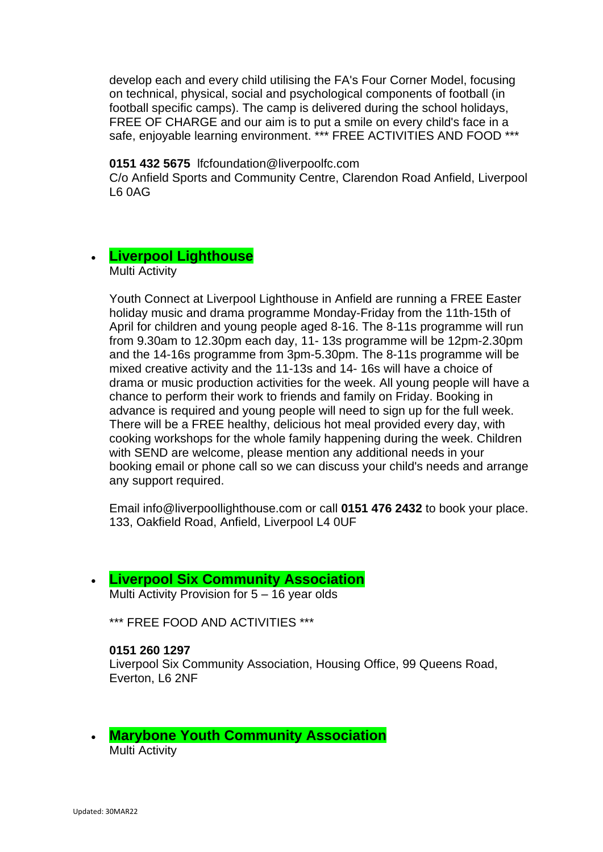develop each and every child utilising the FA's Four Corner Model, focusing on technical, physical, social and psychological components of football (in football specific camps). The camp is delivered during the school holidays, FREE OF CHARGE and our aim is to put a smile on every child's face in a safe, enjoyable learning environment. \*\*\* FREE ACTIVITIES AND FOOD \*\*\*

#### **0151 432 5675** lfcfoundation@liverpoolfc.com

C/o Anfield Sports and Community Centre, Clarendon Road Anfield, Liverpool L6 0AG

# • **Liverpool Lighthouse**

Multi Activity

Youth Connect at Liverpool Lighthouse in Anfield are running a FREE Easter holiday music and drama programme Monday-Friday from the 11th-15th of April for children and young people aged 8-16. The 8-11s programme will run from 9.30am to 12.30pm each day, 11- 13s programme will be 12pm-2.30pm and the 14-16s programme from 3pm-5.30pm. The 8-11s programme will be mixed creative activity and the 11-13s and 14- 16s will have a choice of drama or music production activities for the week. All young people will have a chance to perform their work to friends and family on Friday. Booking in advance is required and young people will need to sign up for the full week. There will be a FREE healthy, delicious hot meal provided every day, with cooking workshops for the whole family happening during the week. Children with SEND are welcome, please mention any additional needs in your booking email or phone call so we can discuss your child's needs and arrange any support required.

Email info@liverpoollighthouse.com or call **0151 476 2432** to book your place. 133, Oakfield Road, Anfield, Liverpool L4 0UF

#### • **[Liverpool Six Community Association](https://liverpool6community.wixsite.com/website)**

Multi Activity Provision for 5 – 16 year olds

\*\*\* FREE FOOD AND ACTIVITIES \*\*\*

#### **0151 260 1297**

Liverpool Six Community Association, Housing Office, 99 Queens Road, Everton, L6 2NF

• **[Marybone Youth Community Association](http://www.marybone.org.uk/)** Multi Activity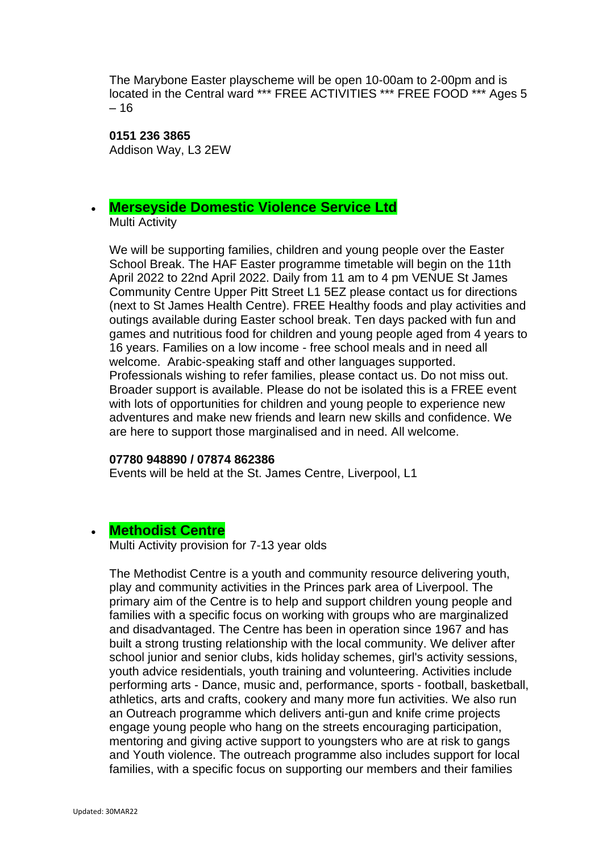The Marybone Easter playscheme will be open 10-00am to 2-00pm and is located in the Central ward \*\*\* FREE ACTIVITIES \*\*\* FREE FOOD \*\*\* Ages 5 – 16

**0151 236 3865** Addison Way, L3 2EW

#### • **[Merseyside Domestic Violence](https://www.mdvs.org/) Service Ltd** Multi Activity

We will be supporting families, children and young people over the Easter School Break. The HAF Easter programme timetable will begin on the 11th April 2022 to 22nd April 2022. Daily from 11 am to 4 pm VENUE St James Community Centre Upper Pitt Street L1 5EZ please contact us for directions (next to St James Health Centre). FREE Healthy foods and play activities and outings available during Easter school break. Ten days packed with fun and games and nutritious food for children and young people aged from 4 years to 16 years. Families on a low income - free school meals and in need all welcome. Arabic-speaking staff and other languages supported. Professionals wishing to refer families, please contact us. Do not miss out. Broader support is available. Please do not be isolated this is a FREE event with lots of opportunities for children and young people to experience new adventures and make new friends and learn new skills and confidence. We are here to support those marginalised and in need. All welcome.

#### **07780 948890 / 07874 862386**

Events will be held at the St. James Centre, Liverpool, L1

#### • **[Methodist Centre](https://www.familiesonline.co.uk/local/liverpool/listing/the-methodist-centre-190912)**

Multi Activity provision for 7-13 year olds

The Methodist Centre is a youth and community resource delivering youth, play and community activities in the Princes park area of Liverpool. The primary aim of the Centre is to help and support children young people and families with a specific focus on working with groups who are marginalized and disadvantaged. The Centre has been in operation since 1967 and has built a strong trusting relationship with the local community. We deliver after school junior and senior clubs, kids holiday schemes, girl's activity sessions, youth advice residentials, youth training and volunteering. Activities include performing arts - Dance, music and, performance, sports - football, basketball, athletics, arts and crafts, cookery and many more fun activities. We also run an Outreach programme which delivers anti-gun and knife crime projects engage young people who hang on the streets encouraging participation, mentoring and giving active support to youngsters who are at risk to gangs and Youth violence. The outreach programme also includes support for local families, with a specific focus on supporting our members and their families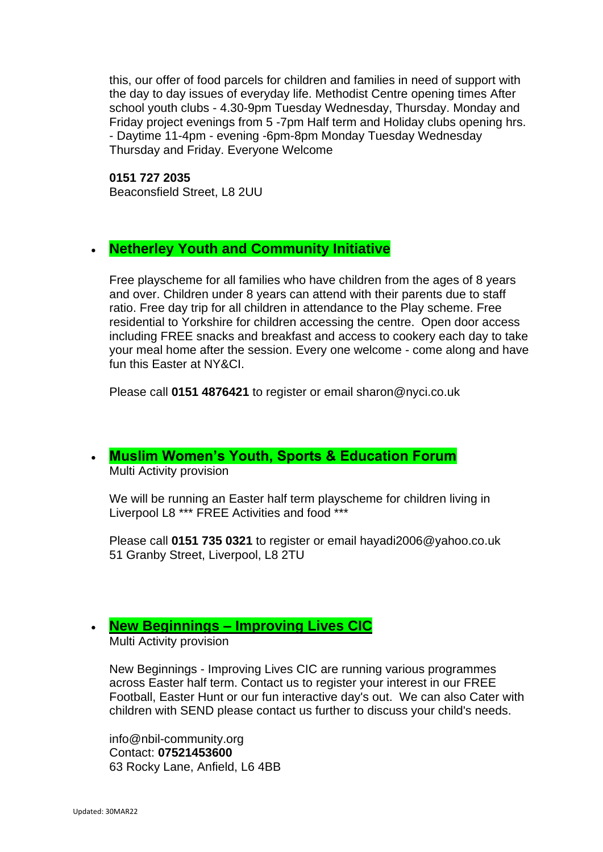this, our offer of food parcels for children and families in need of support with the day to day issues of everyday life. Methodist Centre opening times After school youth clubs - 4.30-9pm Tuesday Wednesday, Thursday. Monday and Friday project evenings from 5 -7pm Half term and Holiday clubs opening hrs. - Daytime 11-4pm - evening -6pm-8pm Monday Tuesday Wednesday Thursday and Friday. Everyone Welcome

**0151 727 2035** Beaconsfield Street, L8 2UU

## • **Netherley Youth and Community Initiative**

Free playscheme for all families who have children from the ages of 8 years and over. Children under 8 years can attend with their parents due to staff ratio. Free day trip for all children in attendance to the Play scheme. Free residential to Yorkshire for children accessing the centre. Open door access including FREE snacks and breakfast and access to cookery each day to take your meal home after the session. Every one welcome - come along and have fun this Easter at NY&CL

Please call **0151 4876421** to register or email sharon@nyci.co.uk

## • **Muslim Women's Youth, Sports & Education Forum**

Multi Activity provision

We will be running an Easter half term playscheme for children living in Liverpool L8 \*\*\* FREE Activities and food \*\*\*

Please call **0151 735 0321** to register or email hayadi2006@yahoo.co.uk 51 Granby Street, Liverpool, L8 2TU

## • **New Beginnings – [Improving Lives CIC](https://www.nbil-community.org/)**

Multi Activity provision

New Beginnings - Improving Lives CIC are running various programmes across Easter half term. Contact us to register your interest in our FREE Football, Easter Hunt or our fun interactive day's out. We can also Cater with children with SEND please contact us further to discuss your child's needs.

info@nbil-community.org Contact: **07521453600** 63 Rocky Lane, Anfield, L6 4BB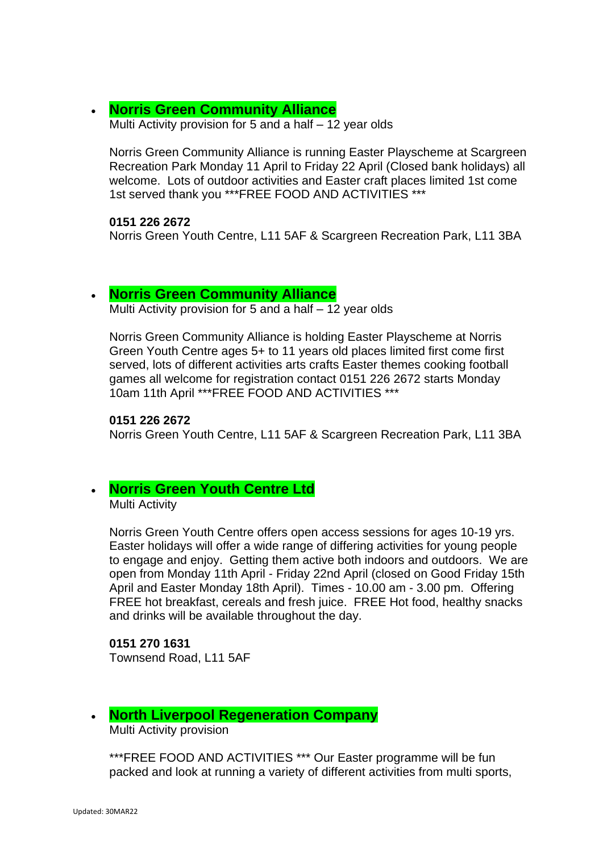## • **[Norris Green Community Alliance](https://www.facebook.com/NorrisGreenCommunityAlliance/)**

Multi Activity provision for 5 and a half – 12 year olds

Norris Green Community Alliance is running Easter Playscheme at Scargreen Recreation Park Monday 11 April to Friday 22 April (Closed bank holidays) all welcome. Lots of outdoor activities and Easter craft places limited 1st come 1st served thank you \*\*\*FREE FOOD AND ACTIVITIES \*\*\*

**0151 226 2672**

Norris Green Youth Centre, L11 5AF & Scargreen Recreation Park, L11 3BA

#### • **[Norris Green Community Alliance](https://www.facebook.com/NorrisGreenCommunityAlliance/)**

Multi Activity provision for 5 and a half – 12 year olds

Norris Green Community Alliance is holding Easter Playscheme at Norris Green Youth Centre ages 5+ to 11 years old places limited first come first served, lots of different activities arts crafts Easter themes cooking football games all welcome for registration contact 0151 226 2672 starts Monday 10am 11th April \*\*\*FREE FOOD AND ACTIVITIES \*\*\*

#### **0151 226 2672**

Norris Green Youth Centre, L11 5AF & Scargreen Recreation Park, L11 3BA

## • **[Norris Green Youth Centre Ltd](https://www.facebook.com/norrisgreenyouthcentre/)**

Multi Activity

Norris Green Youth Centre offers open access sessions for ages 10-19 yrs. Easter holidays will offer a wide range of differing activities for young people to engage and enjoy. Getting them active both indoors and outdoors. We are open from Monday 11th April - Friday 22nd April (closed on Good Friday 15th April and Easter Monday 18th April). Times - 10.00 am - 3.00 pm. Offering FREE hot breakfast, cereals and fresh juice. FREE Hot food, healthy snacks and drinks will be available throughout the day.

## **0151 270 1631**

Townsend Road, L11 5AF

#### • **North Liverpool Regeneration Company**

Multi Activity provision

\*\*\*FREE FOOD AND ACTIVITIES \*\*\* Our Easter programme will be fun packed and look at running a variety of different activities from multi sports,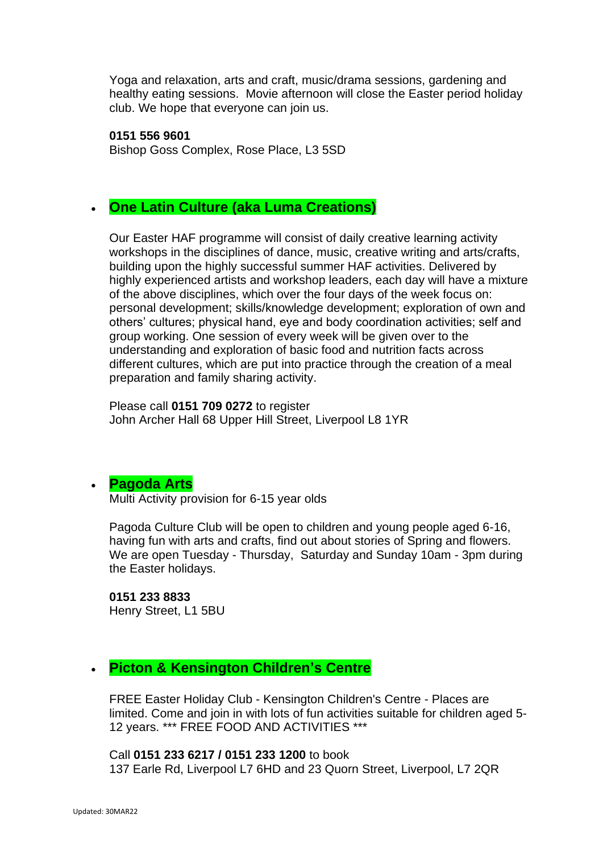Yoga and relaxation, arts and craft, music/drama sessions, gardening and healthy eating sessions. Movie afternoon will close the Easter period holiday club. We hope that everyone can join us.

**0151 556 9601** Bishop Goss Complex, Rose Place, L3 5SD

## • **One Latin Culture (aka Luma Creations)**

Our Easter HAF programme will consist of daily creative learning activity workshops in the disciplines of dance, music, creative writing and arts/crafts, building upon the highly successful summer HAF activities. Delivered by highly experienced artists and workshop leaders, each day will have a mixture of the above disciplines, which over the four days of the week focus on: personal development; skills/knowledge development; exploration of own and others' cultures; physical hand, eye and body coordination activities; self and group working. One session of every week will be given over to the understanding and exploration of basic food and nutrition facts across different cultures, which are put into practice through the creation of a meal preparation and family sharing activity.

Please call **0151 709 0272** to register John Archer Hall 68 Upper Hill Street, Liverpool L8 1YR

## • **[Pagoda](http://pagodaarts.org.uk/) Arts**

Multi Activity provision for 6-15 year olds

Pagoda Culture Club will be open to children and young people aged 6-16, having fun with arts and crafts, find out about stories of Spring and flowers. We are open Tuesday - Thursday, Saturday and Sunday 10am - 3pm during the Easter holidays.

**0151 233 8833** Henry Street, L1 5BU

## • **Picton & Kensington Children's Centre**

FREE Easter Holiday Club - Kensington Children's Centre - Places are limited. Come and join in with lots of fun activities suitable for children aged 5- 12 years. \*\*\* FREE FOOD AND ACTIVITIES \*\*\*

Call **0151 233 6217 / 0151 233 1200** to book 137 Earle Rd, Liverpool L7 6HD and 23 Quorn Street, Liverpool, L7 2QR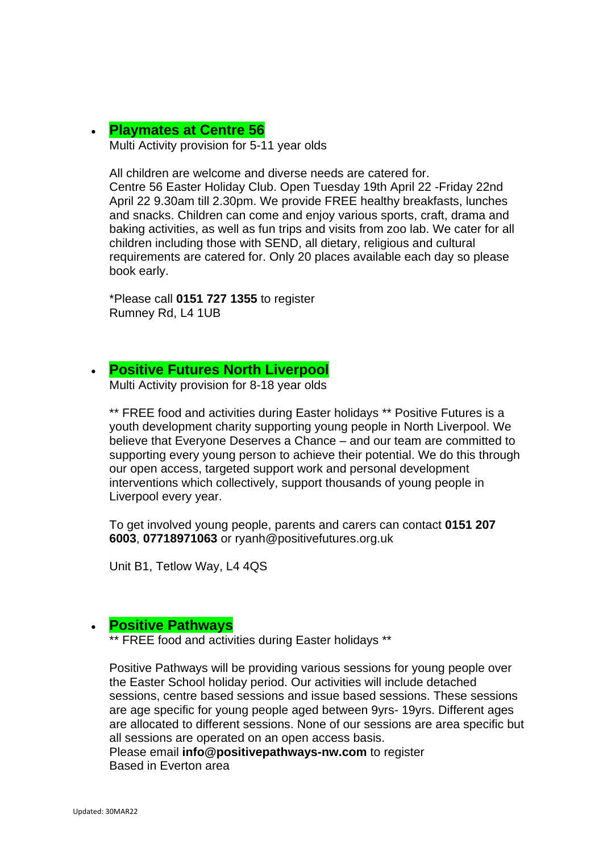#### • **[Playmates at Centre 56](https://www.centre56.org.uk/)** Multi Activity provision for 5-11 year olds

All children are welcome and diverse needs are catered for. Centre 56 Easter Holiday Club. Open Tuesday 19th April 22 -Friday 22nd April 22 9.30am till 2.30pm. We provide FREE healthy breakfasts, lunches and snacks. Children can come and enjoy various sports, craft, drama and baking activities, as well as fun trips and visits from zoo lab. We cater for all children including those with SEND, all dietary, religious and cultural requirements are catered for. Only 20 places available each day so please book early.

\*Please call **0151 727 1355** to register Rumney Rd, L4 1UB

#### • **[Positive Futures North Liverpool](https://www.positivefutures.org.uk/)**

Multi Activity provision for 8-18 year olds

\*\* FREE food and activities during Easter holidays \*\* Positive Futures is a youth development charity supporting young people in North Liverpool. We believe that Everyone Deserves a Chance – and our team are committed to supporting every young person to achieve their potential. We do this through our open access, targeted support work and personal development interventions which collectively, support thousands of young people in Liverpool every year.

To get involved young people, parents and carers can contact **0151 207 6003**, **07718971063** or ryanh@positivefutures.org.uk

Unit B1, Tetlow Way, L4 4QS

#### • **Positive Pathways**

\*\* FREE food and activities during Easter holidays \*\*

Positive Pathways will be providing various sessions for young people over the Easter School holiday period. Our activities will include detached sessions, centre based sessions and issue based sessions. These sessions are age specific for young people aged between 9yrs- 19yrs. Different ages are allocated to different sessions. None of our sessions are area specific but all sessions are operated on an open access basis.

Please email **info@positivepathways-nw.com** to register Based in Everton area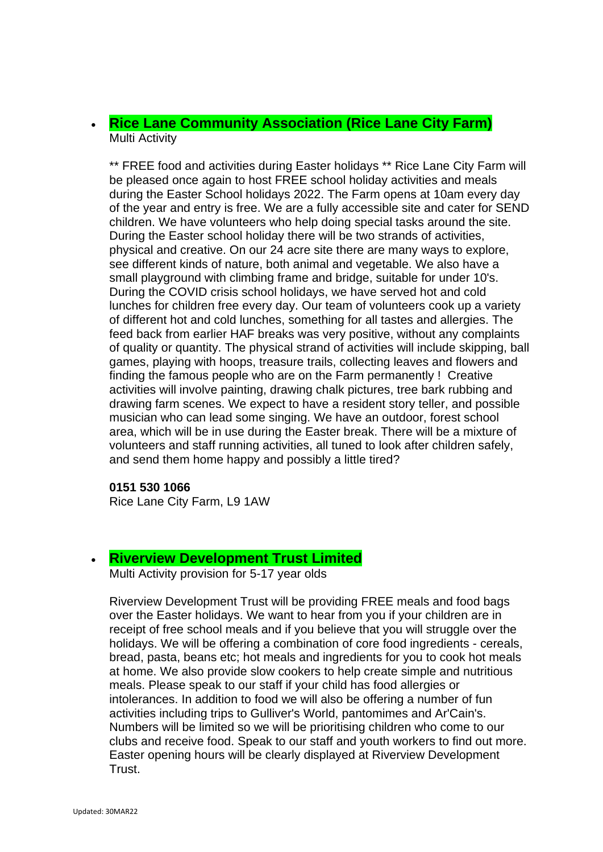## • **[Rice Lane Community Association \(Rice Lane City Farm\)](https://ricelanecityfarm.co.uk/)** Multi Activity

\*\* FREE food and activities during Easter holidays \*\* Rice Lane City Farm will be pleased once again to host FREE school holiday activities and meals during the Easter School holidays 2022. The Farm opens at 10am every day of the year and entry is free. We are a fully accessible site and cater for SEND children. We have volunteers who help doing special tasks around the site. During the Easter school holiday there will be two strands of activities, physical and creative. On our 24 acre site there are many ways to explore, see different kinds of nature, both animal and vegetable. We also have a small playground with climbing frame and bridge, suitable for under 10's. During the COVID crisis school holidays, we have served hot and cold lunches for children free every day. Our team of volunteers cook up a variety of different hot and cold lunches, something for all tastes and allergies. The feed back from earlier HAF breaks was very positive, without any complaints of quality or quantity. The physical strand of activities will include skipping, ball games, playing with hoops, treasure trails, collecting leaves and flowers and finding the famous people who are on the Farm permanently ! Creative activities will involve painting, drawing chalk pictures, tree bark rubbing and drawing farm scenes. We expect to have a resident story teller, and possible musician who can lead some singing. We have an outdoor, forest school area, which will be in use during the Easter break. There will be a mixture of volunteers and staff running activities, all tuned to look after children safely, and send them home happy and possibly a little tired?

#### **0151 530 1066**

Rice Lane City Farm, L9 1AW

#### • **[Riverview Development Trust Limited](http://www.gtdt.co.uk/)**

Multi Activity provision for 5-17 year olds

Riverview Development Trust will be providing FREE meals and food bags over the Easter holidays. We want to hear from you if your children are in receipt of free school meals and if you believe that you will struggle over the holidays. We will be offering a combination of core food ingredients - cereals, bread, pasta, beans etc; hot meals and ingredients for you to cook hot meals at home. We also provide slow cookers to help create simple and nutritious meals. Please speak to our staff if your child has food allergies or intolerances. In addition to food we will also be offering a number of fun activities including trips to Gulliver's World, pantomimes and Ar'Cain's. Numbers will be limited so we will be prioritising children who come to our clubs and receive food. Speak to our staff and youth workers to find out more. Easter opening hours will be clearly displayed at Riverview Development Trust.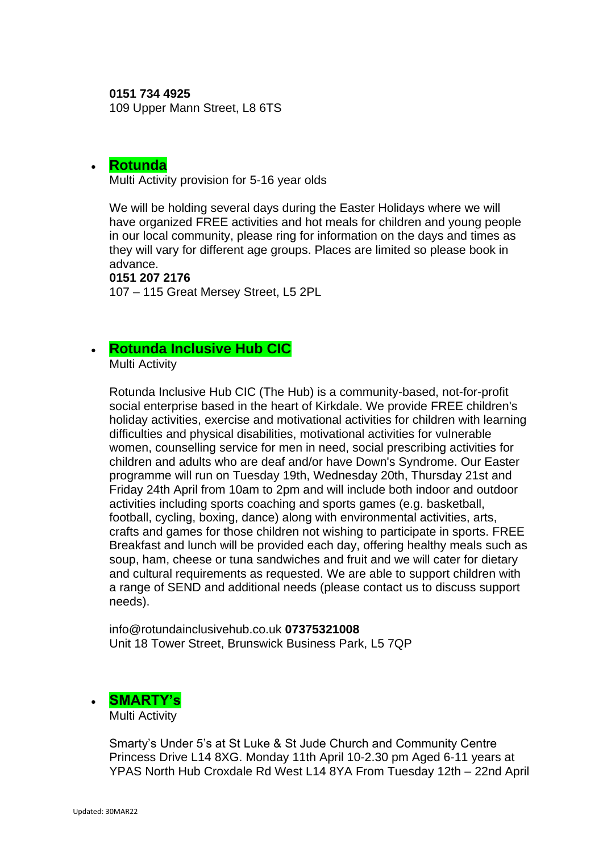**0151 734 4925**

109 Upper Mann Street, L8 6TS

### • **[Rotunda](https://www.therotunda.org.uk/)**

Multi Activity provision for 5-16 year olds

We will be holding several days during the Easter Holidays where we will have organized FREE activities and hot meals for children and young people in our local community, please ring for information on the days and times as they will vary for different age groups. Places are limited so please book in advance.

#### **0151 207 2176**

107 – 115 Great Mersey Street, L5 2PL

## • **[Rotunda Inclusive Hub CIC](https://theinclusivehub.co.uk/)**

Multi Activity

Rotunda Inclusive Hub CIC (The Hub) is a community-based, not-for-profit social enterprise based in the heart of Kirkdale. We provide FREE children's holiday activities, exercise and motivational activities for children with learning difficulties and physical disabilities, motivational activities for vulnerable women, counselling service for men in need, social prescribing activities for children and adults who are deaf and/or have Down's Syndrome. Our Easter programme will run on Tuesday 19th, Wednesday 20th, Thursday 21st and Friday 24th April from 10am to 2pm and will include both indoor and outdoor activities including sports coaching and sports games (e.g. basketball, football, cycling, boxing, dance) along with environmental activities, arts, crafts and games for those children not wishing to participate in sports. FREE Breakfast and lunch will be provided each day, offering healthy meals such as soup, ham, cheese or tuna sandwiches and fruit and we will cater for dietary and cultural requirements as requested. We are able to support children with a range of SEND and additional needs (please contact us to discuss support needs).

info@rotundainclusivehub.co.uk **07375321008** Unit 18 Tower Street, Brunswick Business Park, L5 7QP

# • **[SMARTY's](https://www.facebook.com/smartysliverpool/)**

Multi Activity

Smarty's Under 5's at St Luke & St Jude Church and Community Centre Princess Drive L14 8XG. Monday 11th April 10-2.30 pm Aged 6-11 years at YPAS North Hub Croxdale Rd West L14 8YA From Tuesday 12th – 22nd April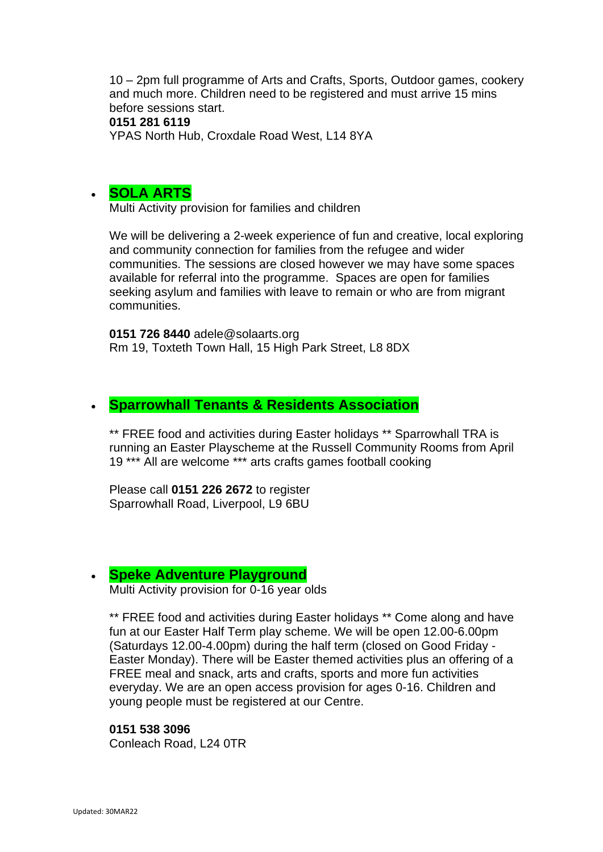10 – 2pm full programme of Arts and Crafts, Sports, Outdoor games, cookery and much more. Children need to be registered and must arrive 15 mins before sessions start.

#### **0151 281 6119**

YPAS North Hub, Croxdale Road West, L14 8YA

### • **[SOLA ARTS](http://solaarts.org/)**

Multi Activity provision for families and children

We will be delivering a 2-week experience of fun and creative, local exploring and community connection for families from the refugee and wider communities. The sessions are closed however we may have some spaces available for referral into the programme. Spaces are open for families seeking asylum and families with leave to remain or who are from migrant communities.

**0151 726 8440** adele@solaarts.org Rm 19, Toxteth Town Hall, 15 High Park Street, L8 8DX

#### • **Sparrowhall Tenants & Residents Association**

\*\* FREE food and activities during Easter holidays \*\* Sparrowhall TRA is running an Easter Playscheme at the Russell Community Rooms from April 19 \*\*\* All are welcome \*\*\* arts crafts games football cooking

Please call **0151 226 2672** to register Sparrowhall Road, Liverpool, L9 6BU

#### • **[Speke Adventure Playground](http://www.spekeadventure.co.uk/)**

Multi Activity provision for 0-16 year olds

\*\* FREE food and activities during Easter holidays \*\* Come along and have fun at our Easter Half Term play scheme. We will be open 12.00-6.00pm (Saturdays 12.00-4.00pm) during the half term (closed on Good Friday - Easter Monday). There will be Easter themed activities plus an offering of a FREE meal and snack, arts and crafts, sports and more fun activities everyday. We are an open access provision for ages 0-16. Children and young people must be registered at our Centre.

#### **0151 538 3096**

Conleach Road, L24 0TR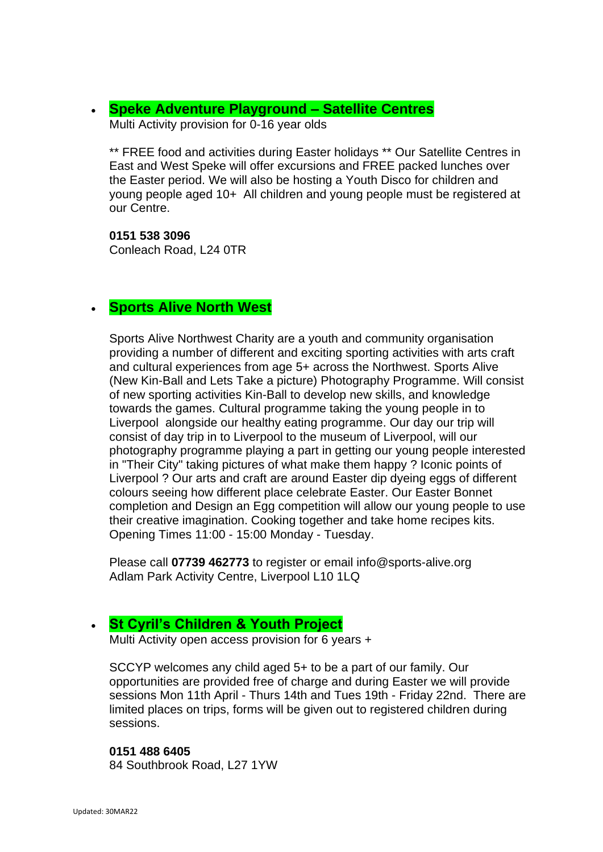## • **[Speke Adventure Playground](http://www.spekeadventure.co.uk/) – Satellite Centres**

Multi Activity provision for 0-16 year olds

\*\* FREE food and activities during Easter holidays \*\* Our Satellite Centres in East and West Speke will offer excursions and FREE packed lunches over the Easter period. We will also be hosting a Youth Disco for children and young people aged 10+ All children and young people must be registered at our Centre.

**0151 538 3096** Conleach Road, L24 0TR

## • **Sports Alive North West**

Sports Alive Northwest Charity are a youth and community organisation providing a number of different and exciting sporting activities with arts craft and cultural experiences from age 5+ across the Northwest. Sports Alive (New Kin-Ball and Lets Take a picture) Photography Programme. Will consist of new sporting activities Kin-Ball to develop new skills, and knowledge towards the games. Cultural programme taking the young people in to Liverpool alongside our healthy eating programme. Our day our trip will consist of day trip in to Liverpool to the museum of Liverpool, will our photography programme playing a part in getting our young people interested in "Their City" taking pictures of what make them happy ? Iconic points of Liverpool ? Our arts and craft are around Easter dip dyeing eggs of different colours seeing how different place celebrate Easter. Our Easter Bonnet completion and Design an Egg competition will allow our young people to use their creative imagination. Cooking together and take home recipes kits. Opening Times 11:00 - 15:00 Monday - Tuesday.

Please call **07739 462773** to register or email info@sports-alive.org Adlam Park Activity Centre, Liverpool L10 1LQ

## • **[St Cyril's Children & Youth Project](https://www.facebook.com/sccypkids)**

Multi Activity open access provision for 6 years +

SCCYP welcomes any child aged 5+ to be a part of our family. Our opportunities are provided free of charge and during Easter we will provide sessions Mon 11th April - Thurs 14th and Tues 19th - Friday 22nd. There are limited places on trips, forms will be given out to registered children during sessions.

#### **0151 488 6405**

84 Southbrook Road, L27 1YW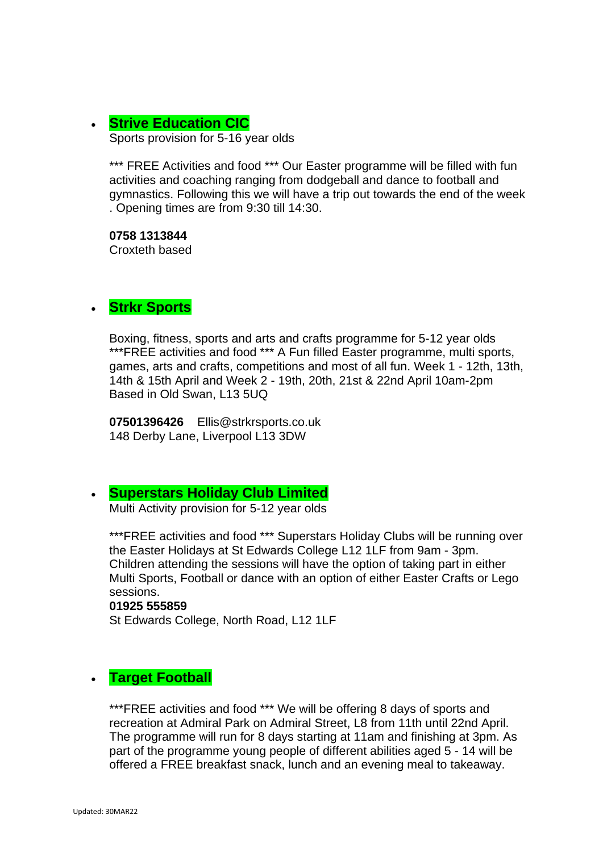## • **Strive Education CIC** Sports provision for 5-16 year olds

\*\*\* FREE Activities and food \*\*\* Our Easter programme will be filled with fun activities and coaching ranging from dodgeball and dance to football and gymnastics. Following this we will have a trip out towards the end of the week . Opening times are from 9:30 till 14:30.

**0758 1313844** Croxteth based

## • **Strkr Sports**

Boxing, fitness, sports and arts and crafts programme for 5-12 year olds \*\*\*FREE activities and food \*\*\* A Fun filled Easter programme, multi sports, games, arts and crafts, competitions and most of all fun. Week 1 - 12th, 13th, 14th & 15th April and Week 2 - 19th, 20th, 21st & 22nd April 10am-2pm Based in Old Swan, L13 5UQ

**07501396426** Ellis@strkrsports.co.uk 148 Derby Lane, Liverpool L13 3DW

## • **[Superstars Holiday Club Limited](http://www.littlesuperstars.co.uk/)**

Multi Activity provision for 5-12 year olds

\*\*\*FREE activities and food \*\*\* Superstars Holiday Clubs will be running over the Easter Holidays at St Edwards College L12 1LF from 9am - 3pm. Children attending the sessions will have the option of taking part in either Multi Sports, Football or dance with an option of either Easter Crafts or Lego sessions.

#### **01925 555859**

St Edwards College, North Road, L12 1LF

## • **Target Football**

\*\*\*FREE activities and food \*\*\* We will be offering 8 days of sports and recreation at Admiral Park on Admiral Street, L8 from 11th until 22nd April. The programme will run for 8 days starting at 11am and finishing at 3pm. As part of the programme young people of different abilities aged 5 - 14 will be offered a FREE breakfast snack, lunch and an evening meal to takeaway.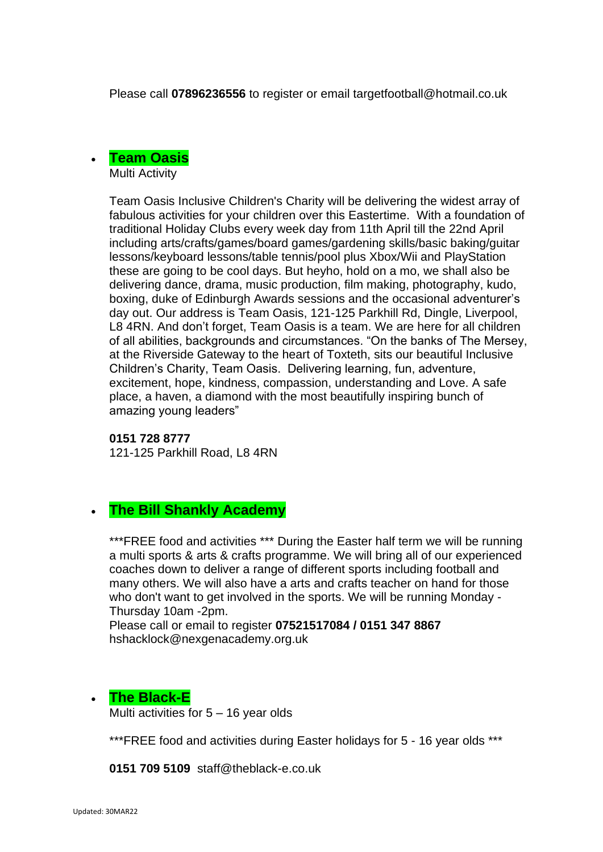Please call **07896236556** to register or email targetfootball@hotmail.co.uk



Team Oasis Inclusive Children's Charity will be delivering the widest array of fabulous activities for your children over this Eastertime. With a foundation of traditional Holiday Clubs every week day from 11th April till the 22nd April including arts/crafts/games/board games/gardening skills/basic baking/guitar lessons/keyboard lessons/table tennis/pool plus Xbox/Wii and PlayStation these are going to be cool days. But heyho, hold on a mo, we shall also be delivering dance, drama, music production, film making, photography, kudo, boxing, duke of Edinburgh Awards sessions and the occasional adventurer's day out. Our address is Team Oasis, 121-125 Parkhill Rd, Dingle, Liverpool, L8 4RN. And don't forget, Team Oasis is a team. We are here for all children of all abilities, backgrounds and circumstances. "On the banks of The Mersey, at the Riverside Gateway to the heart of Toxteth, sits our beautiful Inclusive Children's Charity, Team Oasis. Delivering learning, fun, adventure, excitement, hope, kindness, compassion, understanding and Love. A safe place, a haven, a diamond with the most beautifully inspiring bunch of amazing young leaders"

#### **0151 728 8777**

121-125 Parkhill Road, L8 4RN

## • **The Bill Shankly Academy**

\*\*\*FREE food and activities \*\*\* During the Easter half term we will be running a multi sports & arts & crafts programme. We will bring all of our experienced coaches down to deliver a range of different sports including football and many others. We will also have a arts and crafts teacher on hand for those who don't want to get involved in the sports. We will be running Monday - Thursday 10am -2pm.

Please call or email to register **07521517084 / 0151 347 8867** hshacklock@nexgenacademy.org.uk

#### • **The Black-E**

Multi activities for  $5 - 16$  year olds

\*\*\*FREE food and activities during Easter holidays for 5 - 16 year olds \*\*\*

**0151 709 5109** staff@theblack-e.co.uk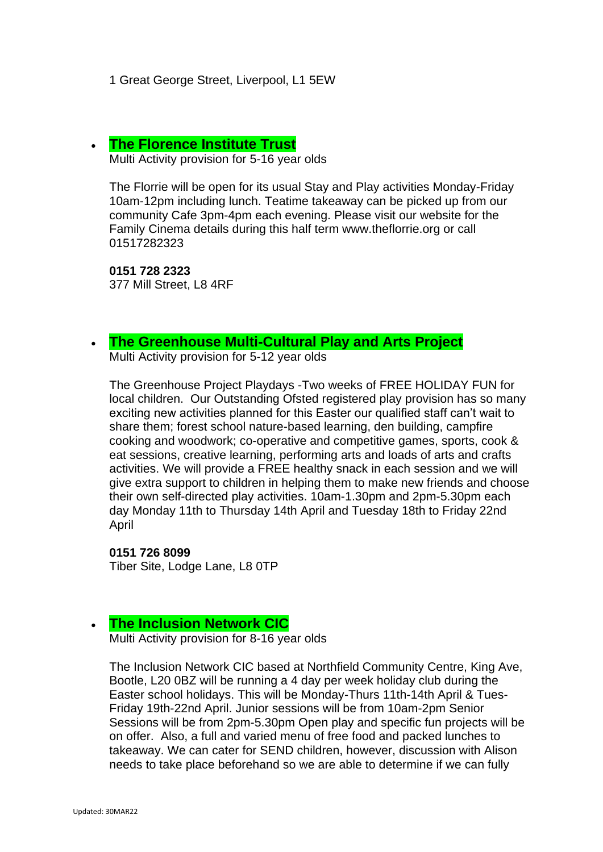1 Great George Street, Liverpool, L1 5EW

#### • **[The Florence Institute Trust](https://www.theflorrie.org/)**

Multi Activity provision for 5-16 year olds

The Florrie will be open for its usual Stay and Play activities Monday-Friday 10am-12pm including lunch. Teatime takeaway can be picked up from our community Cafe 3pm-4pm each evening. Please visit our website for the Family Cinema details during this half term www.theflorrie.org or call 01517282323

**0151 728 2323** 377 Mill Street, L8 4RF

#### • **[The Greenhouse Multi-Cultural Play and Arts Project](https://www.greenhouseproject.org.uk/)**

Multi Activity provision for 5-12 year olds

The Greenhouse Project Playdays -Two weeks of FREE HOLIDAY FUN for local children. Our Outstanding Ofsted registered play provision has so many exciting new activities planned for this Easter our qualified staff can't wait to share them; forest school nature-based learning, den building, campfire cooking and woodwork; co-operative and competitive games, sports, cook & eat sessions, creative learning, performing arts and loads of arts and crafts activities. We will provide a FREE healthy snack in each session and we will give extra support to children in helping them to make new friends and choose their own self-directed play activities. 10am-1.30pm and 2pm-5.30pm each day Monday 11th to Thursday 14th April and Tuesday 18th to Friday 22nd April

**0151 726 8099** Tiber Site, Lodge Lane, L8 0TP

#### • **[The Inclusion Network CIC](https://theinclusionnetwork.uk/)**

Multi Activity provision for 8-16 year olds

The Inclusion Network CIC based at Northfield Community Centre, King Ave, Bootle, L20 0BZ will be running a 4 day per week holiday club during the Easter school holidays. This will be Monday-Thurs 11th-14th April & Tues-Friday 19th-22nd April. Junior sessions will be from 10am-2pm Senior Sessions will be from 2pm-5.30pm Open play and specific fun projects will be on offer. Also, a full and varied menu of free food and packed lunches to takeaway. We can cater for SEND children, however, discussion with Alison needs to take place beforehand so we are able to determine if we can fully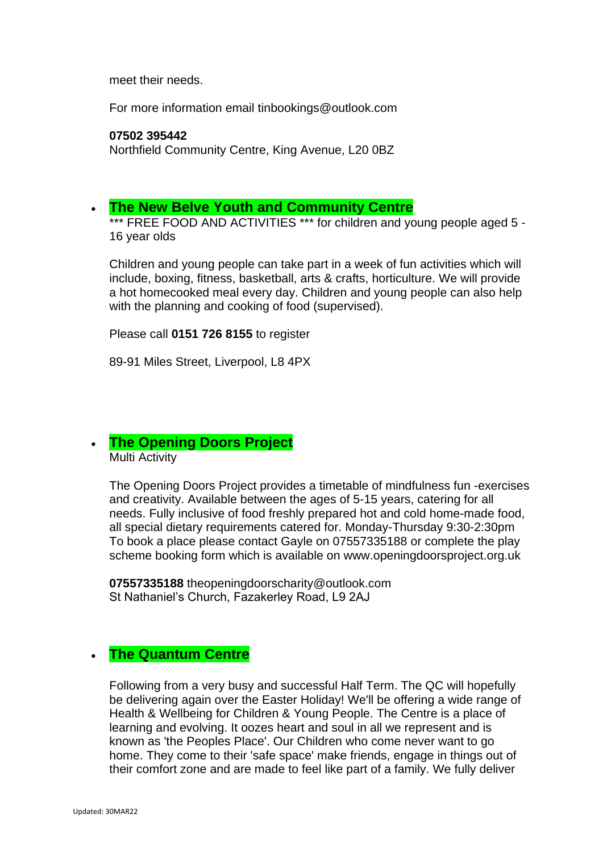meet their needs.

For more information email tinbookings@outlook.com

#### **07502 395442**

Northfield Community Centre, King Avenue, L20 0BZ

## • **The New Belve Youth and Community Centre**

\*\*\* FREE FOOD AND ACTIVITIES \*\*\* for children and young people aged 5 -16 year olds

Children and young people can take part in a week of fun activities which will include, boxing, fitness, basketball, arts & crafts, horticulture. We will provide a hot homecooked meal every day. Children and young people can also help with the planning and cooking of food (supervised).

Please call **0151 726 8155** to register

89-91 Miles Street, Liverpool, L8 4PX

• **[The Opening Doors](https://openingdoorsproject.org.uk/) Project** Multi Activity

The Opening Doors Project provides a timetable of mindfulness fun -exercises and creativity. Available between the ages of 5-15 years, catering for all needs. Fully inclusive of food freshly prepared hot and cold home-made food, all special dietary requirements catered for. Monday-Thursday 9:30-2:30pm To book a place please contact Gayle on 07557335188 or complete the play scheme booking form which is available on www.openingdoorsproject.org.uk

**07557335188** theopeningdoorscharity@outlook.com St Nathaniel's Church, Fazakerley Road, L9 2AJ

## • **The Quantum Centre**

Following from a very busy and successful Half Term. The QC will hopefully be delivering again over the Easter Holiday! We'll be offering a wide range of Health & Wellbeing for Children & Young People. The Centre is a place of learning and evolving. It oozes heart and soul in all we represent and is known as 'the Peoples Place'. Our Children who come never want to go home. They come to their 'safe space' make friends, engage in things out of their comfort zone and are made to feel like part of a family. We fully deliver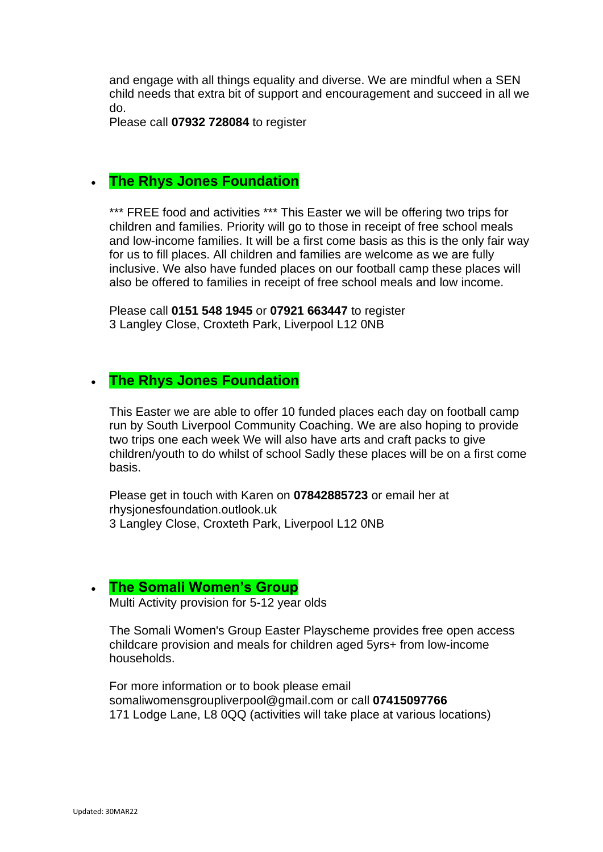and engage with all things equality and diverse. We are mindful when a SEN child needs that extra bit of support and encouragement and succeed in all we do.

Please call **07932 728084** to register

### • **The Rhys Jones Foundation**

\*\*\* FREE food and activities \*\*\* This Easter we will be offering two trips for children and families. Priority will go to those in receipt of free school meals and low-income families. It will be a first come basis as this is the only fair way for us to fill places. All children and families are welcome as we are fully inclusive. We also have funded places on our football camp these places will also be offered to families in receipt of free school meals and low income.

Please call **0151 548 1945** or **07921 663447** to register 3 Langley Close, Croxteth Park, Liverpool L12 0NB

#### • **The Rhys Jones Foundation**

This Easter we are able to offer 10 funded places each day on football camp run by South Liverpool Community Coaching. We are also hoping to provide two trips one each week We will also have arts and craft packs to give children/youth to do whilst of school Sadly these places will be on a first come basis.

Please get in touch with Karen on **07842885723** or email her at rhysjonesfoundation.outlook.uk 3 Langley Close, Croxteth Park, Liverpool L12 0NB

#### • **[The Somali Women's Group](https://swg.org.uk/)**

Multi Activity provision for 5-12 year olds

The Somali Women's Group Easter Playscheme provides free open access childcare provision and meals for children aged 5yrs+ from low-income households.

For more information or to book please email somaliwomensgroupliverpool@gmail.com or call **07415097766** 171 Lodge Lane, L8 0QQ (activities will take place at various locations)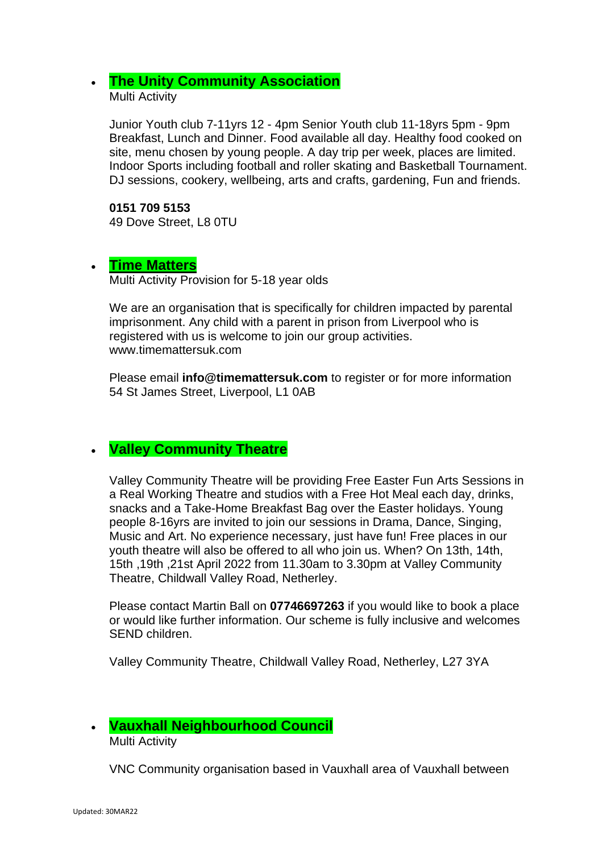#### • **[The Unity Community Association](https://www.facebook.com/Unity-Community-Association-1397400053833036/)** Multi Activity

Junior Youth club 7-11yrs 12 - 4pm Senior Youth club 11-18yrs 5pm - 9pm Breakfast, Lunch and Dinner. Food available all day. Healthy food cooked on site, menu chosen by young people. A day trip per week, places are limited. Indoor Sports including football and roller skating and Basketball Tournament. DJ sessions, cookery, wellbeing, arts and crafts, gardening, Fun and friends.

## **0151 709 5153**

49 Dove Street, L8 0TU

## • **[Time Matters](https://www.timemattersuk.com/)**

Multi Activity Provision for 5-18 year olds

We are an organisation that is specifically for children impacted by parental imprisonment. Any child with a parent in prison from Liverpool who is registered with us is welcome to join our group activities. www.timemattersuk.com

Please email **info@timemattersuk.com** to register or for more information 54 St James Street, Liverpool, L1 0AB

## • **Valley Community Theatre**

Valley Community Theatre will be providing Free Easter Fun Arts Sessions in a Real Working Theatre and studios with a Free Hot Meal each day, drinks, snacks and a Take-Home Breakfast Bag over the Easter holidays. Young people 8-16yrs are invited to join our sessions in Drama, Dance, Singing, Music and Art. No experience necessary, just have fun! Free places in our youth theatre will also be offered to all who join us. When? On 13th, 14th, 15th ,19th ,21st April 2022 from 11.30am to 3.30pm at Valley Community Theatre, Childwall Valley Road, Netherley.

Please contact Martin Ball on **07746697263** if you would like to book a place or would like further information. Our scheme is fully inclusive and welcomes SEND children.

Valley Community Theatre, Childwall Valley Road, Netherley, L27 3YA

#### • **Vauxhall Neighbourhood Council** Multi Activity

VNC Community organisation based in Vauxhall area of Vauxhall between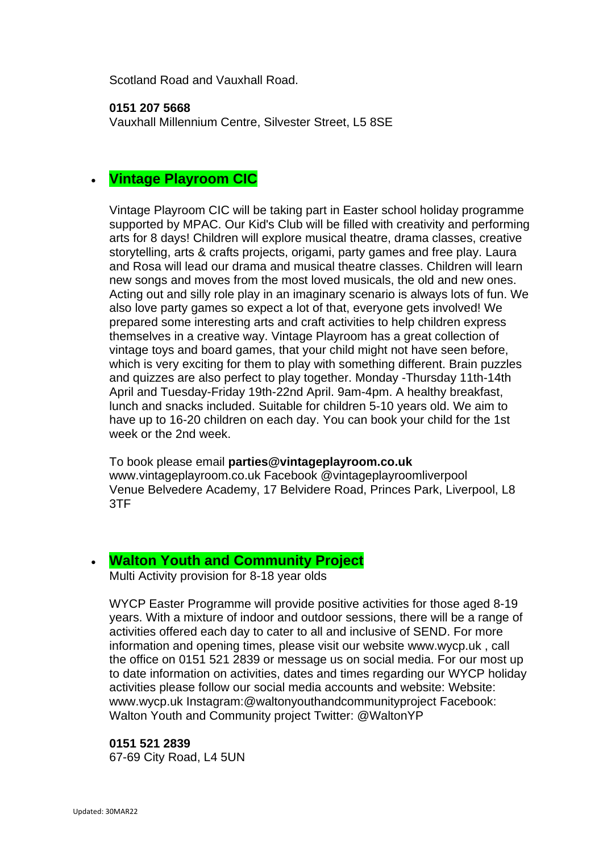Scotland Road and Vauxhall Road.

#### **0151 207 5668**

Vauxhall Millennium Centre, Silvester Street, L5 8SE

## • **Vintage Playroom CIC**

Vintage Playroom CIC will be taking part in Easter school holiday programme supported by MPAC. Our Kid's Club will be filled with creativity and performing arts for 8 days! Children will explore musical theatre, drama classes, creative storytelling, arts & crafts projects, origami, party games and free play. Laura and Rosa will lead our drama and musical theatre classes. Children will learn new songs and moves from the most loved musicals, the old and new ones. Acting out and silly role play in an imaginary scenario is always lots of fun. We also love party games so expect a lot of that, everyone gets involved! We prepared some interesting arts and craft activities to help children express themselves in a creative way. Vintage Playroom has a great collection of vintage toys and board games, that your child might not have seen before, which is very exciting for them to play with something different. Brain puzzles and quizzes are also perfect to play together. Monday -Thursday 11th-14th April and Tuesday-Friday 19th-22nd April. 9am-4pm. A healthy breakfast, lunch and snacks included. Suitable for children 5-10 years old. We aim to have up to 16-20 children on each day. You can book your child for the 1st week or the 2nd week.

To book please email **parties@vintageplayroom.co.uk** www.vintageplayroom.co.uk Facebook @vintageplayroomliverpool Venue Belvedere Academy, 17 Belvidere Road, Princes Park, Liverpool, L8 3TF

## • **[Walton Youth and Community Project](http://www.waltonyouthproject.co.uk/)**

Multi Activity provision for 8-18 year olds

WYCP Easter Programme will provide positive activities for those aged 8-19 years. With a mixture of indoor and outdoor sessions, there will be a range of activities offered each day to cater to all and inclusive of SEND. For more information and opening times, please visit our website www.wycp.uk , call the office on 0151 521 2839 or message us on social media. For our most up to date information on activities, dates and times regarding our WYCP holiday activities please follow our social media accounts and website: Website: www.wycp.uk Instagram:@waltonyouthandcommunityproject Facebook: Walton Youth and Community project Twitter: @WaltonYP

## **0151 521 2839**

67-69 City Road, L4 5UN